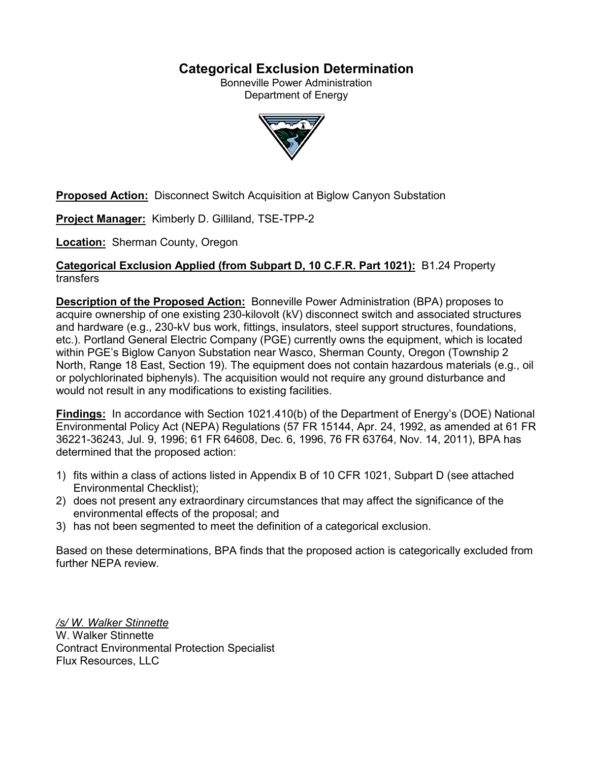# **Categorical Exclusion Determination**

Bonneville Power Administration Department of Energy



**Proposed Action:** Disconnect Switch Acquisition at Biglow Canyon Substation

**Project Manager:** Kimberly D. Gilliland, TSE-TPP-2

**Location:** Sherman County, Oregon

## **Categorical Exclusion Applied (from Subpart D, 10 C.F.R. Part 1021):** B1.24 Property transfers

**Description of the Proposed Action:** Bonneville Power Administration (BPA) proposes to acquire ownership of one existing 230-kilovolt (kV) disconnect switch and associated structures and hardware (e.g., 230-kV bus work, fittings, insulators, steel support structures, foundations, etc.). Portland General Electric Company (PGE) currently owns the equipment, which is located within PGE's Biglow Canyon Substation near Wasco, Sherman County, Oregon (Township 2 North, Range 18 East, Section 19). The equipment does not contain hazardous materials (e.g., oil or polychlorinated biphenyls). The acquisition would not require any ground disturbance and would not result in any modifications to existing facilities.

**Findings:** In accordance with Section 1021.410(b) of the Department of Energy's (DOE) National Environmental Policy Act (NEPA) Regulations (57 FR 15144, Apr. 24, 1992, as amended at 61 FR 36221-36243, Jul. 9, 1996; 61 FR 64608, Dec. 6, 1996, 76 FR 63764, Nov. 14, 2011), BPA has determined that the proposed action:

- 1) fits within a class of actions listed in Appendix B of 10 CFR 1021, Subpart D (see attached Environmental Checklist);
- 2) does not present any extraordinary circumstances that may affect the significance of the environmental effects of the proposal; and
- 3) has not been segmented to meet the definition of a categorical exclusion.

Based on these determinations, BPA finds that the proposed action is categorically excluded from further NEPA review.

*/s/ W. Walker Stinnette* W. Walker Stinnette Contract Environmental Protection Specialist Flux Resources, LLC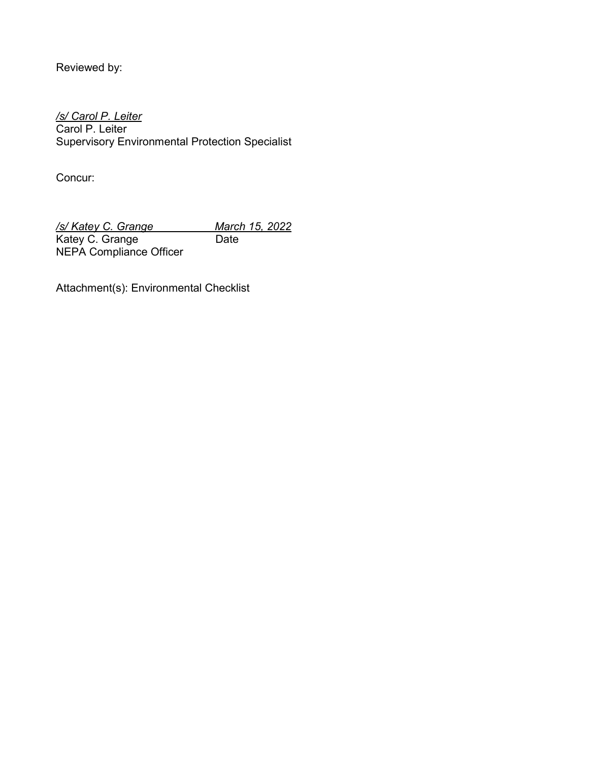Reviewed by:

*/s/ Carol P. Leiter* Carol P. Leiter Supervisory Environmental Protection Specialist

Concur:

*/s/ Katey C. Grange March 15, 2022* Katey C. Grange Date NEPA Compliance Officer

Attachment(s): Environmental Checklist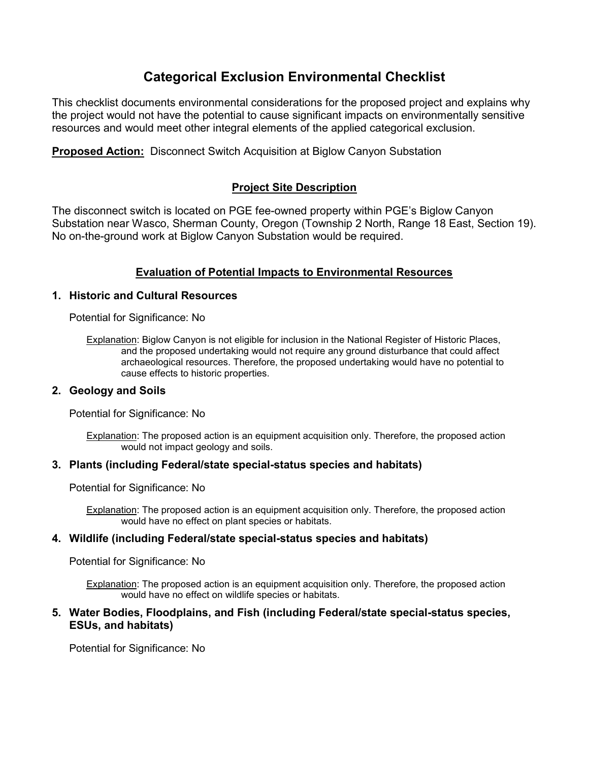# **Categorical Exclusion Environmental Checklist**

This checklist documents environmental considerations for the proposed project and explains why the project would not have the potential to cause significant impacts on environmentally sensitive resources and would meet other integral elements of the applied categorical exclusion.

**Proposed Action:** Disconnect Switch Acquisition at Biglow Canyon Substation

# **Project Site Description**

The disconnect switch is located on PGE fee-owned property within PGE's Biglow Canyon Substation near Wasco, Sherman County, Oregon (Township 2 North, Range 18 East, Section 19). No on-the-ground work at Biglow Canyon Substation would be required.

# **Evaluation of Potential Impacts to Environmental Resources**

## **1. Historic and Cultural Resources**

Potential for Significance: No

Explanation: Biglow Canyon is not eligible for inclusion in the National Register of Historic Places, and the proposed undertaking would not require any ground disturbance that could affect archaeological resources. Therefore, the proposed undertaking would have no potential to cause effects to historic properties.

## **2. Geology and Soils**

Potential for Significance: No

Explanation: The proposed action is an equipment acquisition only. Therefore, the proposed action would not impact geology and soils.

## **3. Plants (including Federal/state special-status species and habitats)**

Potential for Significance: No

Explanation: The proposed action is an equipment acquisition only. Therefore, the proposed action would have no effect on plant species or habitats.

## **4. Wildlife (including Federal/state special-status species and habitats)**

Potential for Significance: No

Explanation: The proposed action is an equipment acquisition only. Therefore, the proposed action would have no effect on wildlife species or habitats.

## **5. Water Bodies, Floodplains, and Fish (including Federal/state special-status species, ESUs, and habitats)**

Potential for Significance: No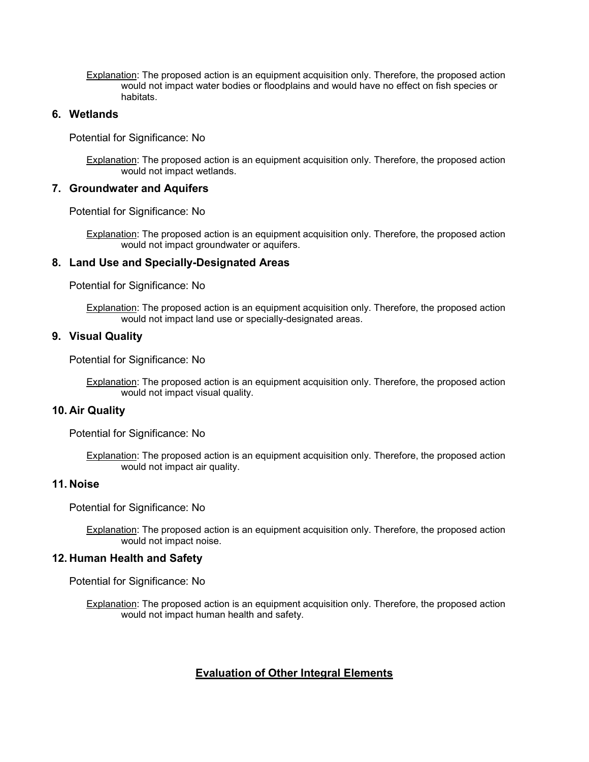Explanation: The proposed action is an equipment acquisition only. Therefore, the proposed action would not impact water bodies or floodplains and would have no effect on fish species or habitats.

### **6. Wetlands**

Potential for Significance: No

Explanation: The proposed action is an equipment acquisition only. Therefore, the proposed action would not impact wetlands.

#### **7. Groundwater and Aquifers**

Potential for Significance: No

Explanation: The proposed action is an equipment acquisition only. Therefore, the proposed action would not impact groundwater or aquifers.

#### **8. Land Use and Specially-Designated Areas**

Potential for Significance: No

Explanation: The proposed action is an equipment acquisition only. Therefore, the proposed action would not impact land use or specially-designated areas.

#### **9. Visual Quality**

Potential for Significance: No

Explanation: The proposed action is an equipment acquisition only. Therefore, the proposed action would not impact visual quality.

#### **10. Air Quality**

Potential for Significance: No

Explanation: The proposed action is an equipment acquisition only. Therefore, the proposed action would not impact air quality.

#### **11. Noise**

Potential for Significance: No

Explanation: The proposed action is an equipment acquisition only. Therefore, the proposed action would not impact noise.

### **12. Human Health and Safety**

Potential for Significance: No

Explanation: The proposed action is an equipment acquisition only. Therefore, the proposed action would not impact human health and safety.

#### **Evaluation of Other Integral Elements**